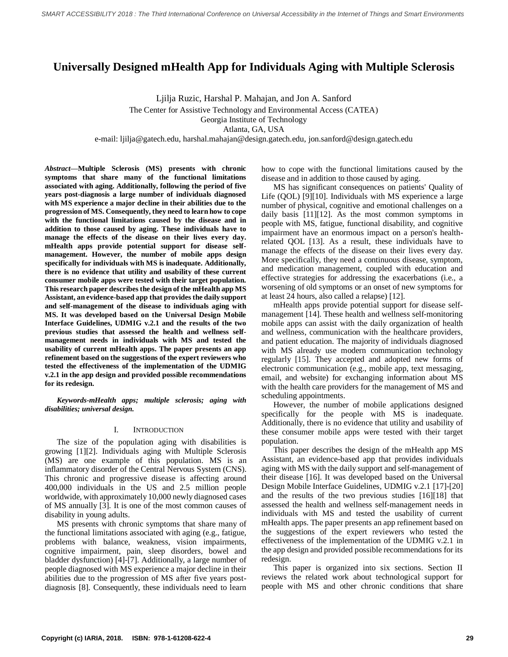# **Universally Designed mHealth App for Individuals Aging with Multiple Sclerosis**

Ljilja Ruzic, Harshal P. Mahajan, and Jon A. Sanford The Center for Assistive Technology and Environmental Access (CATEA) Georgia Institute of Technology Atlanta, GA, USA

e-mail: ljilja@gatech.edu, harshal.mahajan@design.gatech.edu, jon.sanford@design.gatech.edu

*Abstract***—Multiple Sclerosis (MS) presents with chronic symptoms that share many of the functional limitations associated with aging. Additionally, following the period of five years post-diagnosis a large number of individuals diagnosed with MS experience a major decline in their abilities due to the progression of MS. Consequently, they need to learn how to cope with the functional limitations caused by the disease and in addition to those caused by aging. These individuals have to manage the effects of the disease on their lives every day. mHealth apps provide potential support for disease selfmanagement. However, the number of mobile apps design specifically for individuals with MS is inadequate. Additionally, there is no evidence that utility and usability of these current consumer mobile apps were tested with their target population. This research paper describes the design of the mHealth app MS Assistant, an evidence-based app that provides the daily support and self-management of the disease to individuals aging with MS. It was developed based on the Universal Design Mobile Interface Guidelines, UDMIG v.2.1 and the results of the two previous studies that assessed the health and wellness selfmanagement needs in individuals with MS and tested the usability of current mHealth apps. The paper presents an app refinement based on the suggestions of the expert reviewers who tested the effectiveness of the implementation of the UDMIG v.2.1 in the app design and provided possible recommendations for its redesign.**

*Keywords-mHealth apps; multiple sclerosis; aging with disabilities; universal design.*

#### I. INTRODUCTION

The size of the population aging with disabilities is growing [1][2]. Individuals aging with Multiple Sclerosis (MS) are one example of this population. MS is an inflammatory disorder of the Central Nervous System (CNS). This chronic and progressive disease is affecting around 400,000 individuals in the US and 2.5 million people worldwide, with approximately 10,000 newly diagnosed cases of MS annually [3]. It is one of the most common causes of disability in young adults.

MS presents with chronic symptoms that share many of the functional limitations associated with aging (e.g., fatigue, problems with balance, weakness, vision impairments, cognitive impairment, pain, sleep disorders, bowel and bladder dysfunction) [4]-[7]. Additionally, a large number of people diagnosed with MS experience a major decline in their abilities due to the progression of MS after five years postdiagnosis [8]. Consequently, these individuals need to learn

how to cope with the functional limitations caused by the disease and in addition to those caused by aging.

MS has significant consequences on patients' Quality of Life (QOL) [9][10]. Individuals with MS experience a large number of physical, cognitive and emotional challenges on a daily basis [11][12]. As the most common symptoms in people with MS, fatigue, functional disability, and cognitive impairment have an enormous impact on a person's healthrelated QOL [13]. As a result, these individuals have to manage the effects of the disease on their lives every day. More specifically, they need a continuous disease, symptom, and medication management, coupled with education and effective strategies for addressing the exacerbations (i.e., a worsening of old symptoms or an onset of new symptoms for at least 24 hours, also called a relapse) [12].

mHealth apps provide potential support for disease selfmanagement [14]. These health and wellness self-monitoring mobile apps can assist with the daily organization of health and wellness, communication with the healthcare providers, and patient education. The majority of individuals diagnosed with MS already use modern communication technology regularly [15]. They accepted and adopted new forms of electronic communication (e.g., mobile app, text messaging, email, and website) for exchanging information about MS with the health care providers for the management of MS and scheduling appointments.

However, the number of mobile applications designed specifically for the people with MS is inadequate. Additionally, there is no evidence that utility and usability of these consumer mobile apps were tested with their target population.

This paper describes the design of the mHealth app MS Assistant, an evidence-based app that provides individuals aging with MS with the daily support and self-management of their disease [16]. It was developed based on the Universal Design Mobile Interface Guidelines, UDMIG v.2.1 [17]-[20] and the results of the two previous studies [16][18] that assessed the health and wellness self-management needs in individuals with MS and tested the usability of current mHealth apps. The paper presents an app refinement based on the suggestions of the expert reviewers who tested the effectiveness of the implementation of the UDMIG v.2.1 in the app design and provided possible recommendations for its redesign.

This paper is organized into six sections. Section II reviews the related work about technological support for people with MS and other chronic conditions that share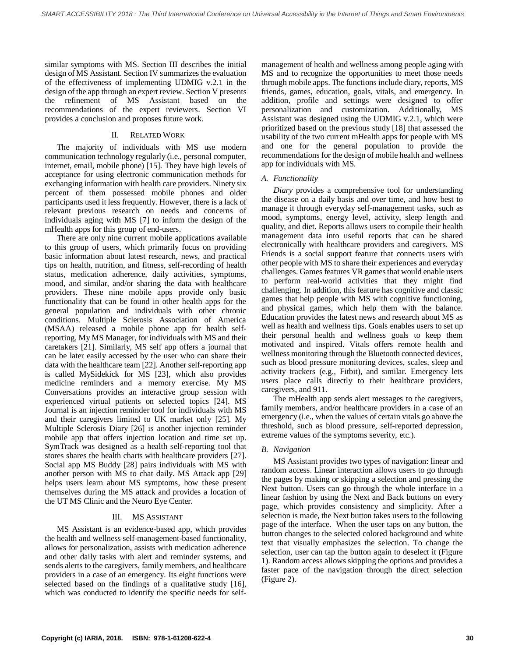similar symptoms with MS. Section III describes the initial design of MS Assistant. Section IV summarizes the evaluation of the effectiveness of implementing UDMIG v.2.1 in the design of the app through an expert review. Section V presents the refinement of MS Assistant based on the recommendations of the expert reviewers. Section VI provides a conclusion and proposes future work.

# II. RELATED WORK

The majority of individuals with MS use modern communication technology regularly (i.e., personal computer, internet, email, mobile phone) [15]. They have high levels of acceptance for using electronic communication methods for exchanging information with health care providers. Ninety six percent of them possessed mobile phones and older participants used it less frequently. However, there is a lack of relevant previous research on needs and concerns of individuals aging with MS [7] to inform the design of the mHealth apps for this group of end-users.

There are only nine current mobile applications available to this group of users, which primarily focus on providing basic information about latest research, news, and practical tips on health, nutrition, and fitness, self-recording of health status, medication adherence, daily activities, symptoms, mood, and similar, and/or sharing the data with healthcare providers. These nine mobile apps provide only basic functionality that can be found in other health apps for the general population and individuals with other chronic conditions. Multiple Sclerosis Association of America (MSAA) released a mobile phone app for health selfreporting, My MS Manager, for individuals with MS and their caretakers [21]. Similarly, MS self app offers a journal that can be later easily accessed by the user who can share their data with the healthcare team [22]. Another self-reporting app is called MySidekick for MS [23], which also provides medicine reminders and a memory exercise. My MS Conversations provides an interactive group session with experienced virtual patients on selected topics [24]. MS Journal is an injection reminder tool for individuals with MS and their caregivers limited to UK market only [25]. My Multiple Sclerosis Diary [26] is another injection reminder mobile app that offers injection location and time set up. SymTrack was designed as a health self-reporting tool that stores shares the health charts with healthcare providers [27]. Social app MS Buddy [28] pairs individuals with MS with another person with MS to chat daily. MS Attack app [29] helps users learn about MS symptoms, how these present themselves during the MS attack and provides a location of the UT MS Clinic and the Neuro Eye Center.

# III. MS ASSISTANT

MS Assistant is an evidence-based app, which provides the health and wellness self-management-based functionality, allows for personalization, assists with medication adherence and other daily tasks with alert and reminder systems, and sends alerts to the caregivers, family members, and healthcare providers in a case of an emergency. Its eight functions were selected based on the findings of a qualitative study [16], which was conducted to identify the specific needs for selfmanagement of health and wellness among people aging with MS and to recognize the opportunities to meet those needs through mobile apps. The functions include diary, reports, MS friends, games, education, goals, vitals, and emergency. In addition, profile and settings were designed to offer personalization and customization. Additionally, MS Assistant was designed using the UDMIG v.2.1, which were prioritized based on the previous study [18] that assessed the usability of the two current mHealth apps for people with MS and one for the general population to provide the recommendations for the design of mobile health and wellness app for individuals with MS.

# *A. Functionality*

*Diary* provides a comprehensive tool for understanding the disease on a daily basis and over time, and how best to manage it through everyday self-management tasks, such as mood, symptoms, energy level, activity, sleep length and quality, and diet. Reports allows users to compile their health management data into useful reports that can be shared electronically with healthcare providers and caregivers. MS Friends is a social support feature that connects users with other people with MS to share their experiences and everyday challenges. Games features VR games that would enable users to perform real-world activities that they might find challenging. In addition, this feature has cognitive and classic games that help people with MS with cognitive functioning, and physical games, which help them with the balance. Education provides the latest news and research about MS as well as health and wellness tips. Goals enables users to set up their personal health and wellness goals to keep them motivated and inspired. Vitals offers remote health and wellness monitoring through the Bluetooth connected devices, such as blood pressure monitoring devices, scales, sleep and activity trackers (e.g., Fitbit), and similar. Emergency lets users place calls directly to their healthcare providers, caregivers, and 911.

The mHealth app sends alert messages to the caregivers, family members, and/or healthcare providers in a case of an emergency (i.e., when the values of certain vitals go above the threshold, such as blood pressure, self-reported depression, extreme values of the symptoms severity, etc.).

# *B. Navigation*

MS Assistant provides two types of navigation: linear and random access. Linear interaction allows users to go through the pages by making or skipping a selection and pressing the Next button. Users can go through the whole interface in a linear fashion by using the Next and Back buttons on every page, which provides consistency and simplicity. After a selection is made, the Next button takes users to the following page of the interface. When the user taps on any button, the button changes to the selected colored background and white text that visually emphasizes the selection. To change the selection, user can tap the button again to deselect it (Figure 1). Random access allows skipping the options and provides a faster pace of the navigation through the direct selection (Figure 2).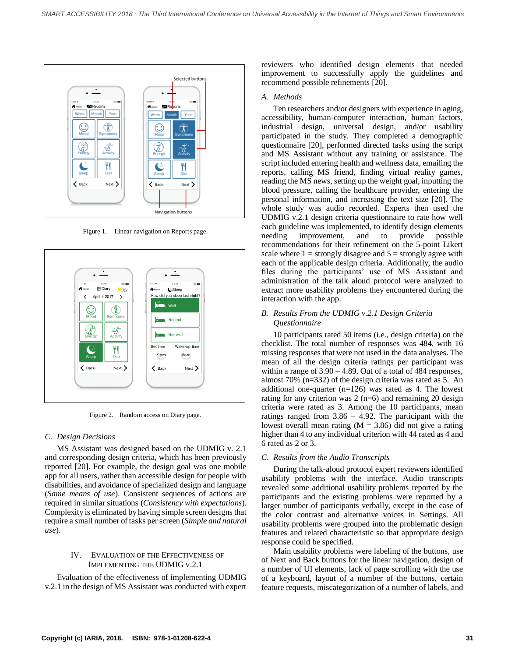

Figure 1. Linear navigation on Reports page.



Figure 2. Random access on Diary page.

#### *C. Design Decisions*

MS Assistant was designed based on the UDMIG v. 2.1 and corresponding design criteria, which has been previously reported [20]. For example, the design goal was one mobile app for all users, rather than accessible design for people with disabilities, and avoidance of specialized design and language (*Same means of use*). Consistent sequences of actions are required in similar situations (*Consistency with expectations*). Complexity is eliminated by having simple screen designs that require a small number of tasks per screen (*Simple and natural use*).

#### IV. EVALUATION OF THE EFFECTIVENESS OF IMPLEMENTING THE UDMIG V.2.1

Evaluation of the effectiveness of implementing UDMIG v.2.1 in the design of MS Assistant was conducted with expert reviewers who identified design elements that needed improvement to successfully apply the guidelines and recommend possible refinements [20].

#### *A. Methods*

Ten researchers and/or designers with experience in aging, accessibility, human-computer interaction, human factors, industrial design, universal design, and/or usability participated in the study. They completed a demographic questionnaire [20], performed directed tasks using the script and MS Assistant without any training or assistance. The script included entering health and wellness data, emailing the reports, calling MS friend, finding virtual reality games, reading the MS news, setting up the weight goal, inputting the blood pressure, calling the healthcare provider, entering the personal information, and increasing the text size [20]. The whole study was audio recorded. Experts then used the UDMIG v.2.1 design criteria questionnaire to rate how well each guideline was implemented, to identify design elements needing improvement, and to provide possible recommendations for their refinement on the 5-point Likert scale where  $1 =$  strongly disagree and  $5 =$  strongly agree with each of the applicable design criteria. Additionally, the audio files during the participants' use of MS Assistant and administration of the talk aloud protocol were analyzed to extract more usability problems they encountered during the interaction with the app.

### *B. Results From the UDMIG v.2.1 Design Criteria Questionnaire*

10 participants rated 50 items (i.e., design criteria) on the checklist. The total number of responses was 484, with 16 missing responses that were not used in the data analyses. The mean of all the design criteria ratings per participant was within a range of 3.90 – 4.89. Out of a total of 484 responses, almost 70% (n=332) of the design criteria was rated as 5. An additional one-quarter (n=126) was rated as 4. The lowest rating for any criterion was  $2(n=6)$  and remaining 20 design criteria were rated as 3. Among the 10 participants, mean ratings ranged from 3.86 – 4.92. The participant with the lowest overall mean rating  $(M = 3.86)$  did not give a rating higher than 4 to any individual criterion with 44 rated as 4 and 6 rated as 2 or 3.

#### *C. Results from the Audio Transcripts*

During the talk-aloud protocol expert reviewers identified usability problems with the interface. Audio transcripts revealed some additional usability problems reported by the participants and the existing problems were reported by a larger number of participants verbally, except in the case of the color contrast and alternative voices in Settings. All usability problems were grouped into the problematic design features and related characteristic so that appropriate design response could be specified.

Main usability problems were labeling of the buttons, use of Next and Back buttons for the linear navigation, design of a number of UI elements, lack of page scrolling with the use of a keyboard, layout of a number of the buttons, certain feature requests, miscategorization of a number of labels, and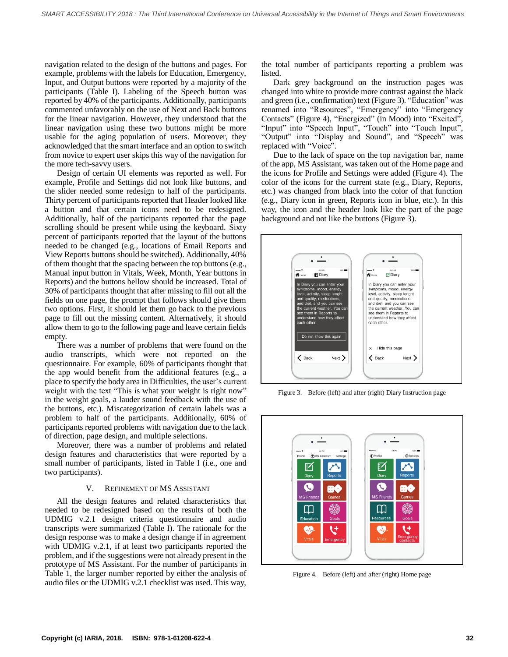navigation related to the design of the buttons and pages. For example, problems with the labels for Education, Emergency, Input, and Output buttons were reported by a majority of the participants (Table I). Labeling of the Speech button was reported by 40% of the participants. Additionally, participants commented unfavorably on the use of Next and Back buttons for the linear navigation. However, they understood that the linear navigation using these two buttons might be more usable for the aging population of users. Moreover, they acknowledged that the smart interface and an option to switch from novice to expert user skips this way of the navigation for the more tech-savvy users.

Design of certain UI elements was reported as well. For example, Profile and Settings did not look like buttons, and the slider needed some redesign to half of the participants. Thirty percent of participants reported that Header looked like a button and that certain icons need to be redesigned. Additionally, half of the participants reported that the page scrolling should be present while using the keyboard. Sixty percent of participants reported that the layout of the buttons needed to be changed (e.g., locations of Email Reports and View Reports buttons should be switched). Additionally, 40% of them thought that the spacing between the top buttons (e.g., Manual input button in Vitals, Week, Month, Year buttons in Reports) and the buttons bellow should be increased. Total of 30% of participants thought that after missing to fill out all the fields on one page, the prompt that follows should give them two options. First, it should let them go back to the previous page to fill out the missing content. Alternatively, it should allow them to go to the following page and leave certain fields empty.

There was a number of problems that were found on the audio transcripts, which were not reported on the questionnaire. For example, 60% of participants thought that the app would benefit from the additional features (e.g., a place to specify the body area in Difficulties, the user's current weight with the text "This is what your weight is right now" in the weight goals, a lauder sound feedback with the use of the buttons, etc.). Miscategorization of certain labels was a problem to half of the participants. Additionally, 60% of participants reported problems with navigation due to the lack of direction, page design, and multiple selections.

Moreover, there was a number of problems and related design features and characteristics that were reported by a small number of participants, listed in Table I (i.e., one and two participants).

#### V. REFINEMENT OF MS ASSISTANT

All the design features and related characteristics that needed to be redesigned based on the results of both the UDMIG v.2.1 design criteria questionnaire and audio transcripts were summarized (Table I). The rationale for the design response was to make a design change if in agreement with UDMIG v.2.1, if at least two participants reported the problem, and if the suggestions were not already present in the prototype of MS Assistant. For the number of participants in Table 1, the larger number reported by either the analysis of audio files or the UDMIG v.2.1 checklist was used. This way,

the total number of participants reporting a problem was listed.

Dark grey background on the instruction pages was changed into white to provide more contrast against the black and green (i.e., confirmation) text (Figure 3). "Education" was renamed into "Resources", "Emergency" into "Emergency Contacts" (Figure 4), "Energized" (in Mood) into "Excited", "Input" into "Speech Input", "Touch" into "Touch Input", "Output" into "Display and Sound", and "Speech" was replaced with "Voice".

Due to the lack of space on the top navigation bar, name of the app, MS Assistant, was taken out of the Home page and the icons for Profile and Settings were added (Figure 4). The color of the icons for the current state (e.g., Diary, Reports, etc.) was changed from black into the color of that function (e.g., Diary icon in green, Reports icon in blue, etc.). In this way, the icon and the header look like the part of the page background and not like the buttons (Figure 3).



Figure 3. Before (left) and after (right) Diary Instruction page



Figure 4. Before (left) and after (right) Home page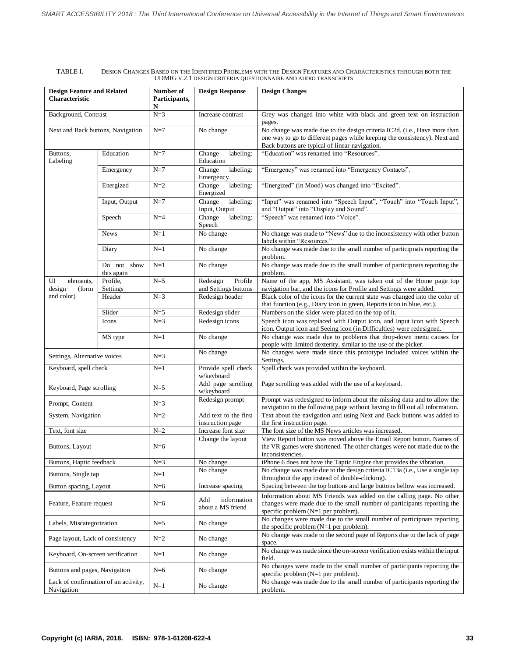#### TABLE I. DESIGN CHANGES BASED ON THE IDENTIFIED PROBLEMS WITH THE DESIGN FEATURES AND CHARACTERISTICS THROUGH BOTH THE UDMIG V.2.1 DESIGN CRITERIA QUESTIONNAIRE AND AUDIO TRANSCRIPTS

| <b>Design Feature and Related</b><br><b>Characteristic</b> |                           | Number of<br>Participants,<br>N | <b>Design Response</b>                      | <b>Design Changes</b>                                                                                                                                                                                    |
|------------------------------------------------------------|---------------------------|---------------------------------|---------------------------------------------|----------------------------------------------------------------------------------------------------------------------------------------------------------------------------------------------------------|
| Background, Contrast                                       |                           | $N=3$                           | Increase contrast                           | Grey was changed into white with black and green text on instruction<br>pages.                                                                                                                           |
| Next and Back buttons, Navigation                          |                           | $N=7$                           | No change                                   | No change was made due to the design criteria IC2d. (i.e., Have more than<br>one way to go to different pages while keeping the consistency). Next and<br>Back buttons are typical of linear navigation. |
| Buttons,<br>Labeling                                       | Education                 | $N=7$                           | Change<br>labeling:<br>Education            | "Education" was renamed into "Resources".                                                                                                                                                                |
|                                                            | Emergency                 | $N=7$                           | Change<br>labeling:<br>Emergency            | "Emergency" was renamed into "Emergency Contacts".                                                                                                                                                       |
|                                                            | Energized                 | $N=2$                           | Change<br>labeling:<br>Energized            | "Energized" (in Mood) was changed into "Excited".                                                                                                                                                        |
|                                                            | Input, Output             | $N=7$                           | labeling:<br>Change<br>Input, Output        | "Input" was renamed into "Speech Input", "Touch" into "Touch Input",<br>and "Output" into "Display and Sound".                                                                                           |
|                                                            | Speech                    | $N=4$                           | Change<br>labeling:<br>Speech               | "Speech" was renamed into "Voice".                                                                                                                                                                       |
|                                                            | <b>News</b>               | $N=1$                           | No change                                   | No change was made to "News" due to the inconsistency with other button<br>labels within "Resources."                                                                                                    |
|                                                            | Diary                     | $N=1$                           | No change                                   | No change was made due to the small number of participnats reporting the<br>problem.                                                                                                                     |
|                                                            | Do not show<br>this again | $N=1$                           | No change                                   | No change was made due to the small number of participnats reporting the<br>problem.                                                                                                                     |
| UI<br>elements,<br>design<br>(form                         | Profile,<br>Settings      | $N=5$                           | Profile<br>Redesign<br>and Settings buttons | Name of the app, MS Assistant, was taken out of the Home page top<br>navigation bar, and the icons for Profile and Settings were added.                                                                  |
| and color)                                                 | Header                    | $N=3$                           | Redesign header                             | Black color of the icons for the current state was changed into the color of<br>that function (e.g., Diary icon in green, Reports icon in blue, etc.).                                                   |
|                                                            | Slider                    | $N=5$                           | Redesign slider                             | Numbers on the slider were placed on the top of it.                                                                                                                                                      |
|                                                            | Icons                     | $N=3$                           | Redesign icons                              | Speech icon was replaced with Output icon, and Input icon with Speech<br>icon. Output icon and Seeing icon (in Difficulties) were redesigned.                                                            |
|                                                            | MS type                   | $N=1$                           | No change                                   | No change was made due to problems that drop-down menu causes for<br>people with limited dexterity, similar to the use of the picker.                                                                    |
| Settings, Alternative voices                               |                           | $N=3$                           | No change                                   | No changes were made since this prototype included voices within the<br>Settings.                                                                                                                        |
| Keyboard, spell check                                      |                           | $N=1$                           | Provide spell check<br>w/keyboard           | Spell check was provided within the keyboard.                                                                                                                                                            |
| Keyboard, Page scrolling                                   |                           | $N=5$                           | Add page scrolling<br>w/keyboard            | Page scrolling was added with the use of a keyboard.                                                                                                                                                     |
| Prompt, Content                                            |                           | $N=3$                           | Redesign prompt                             | Prompt was redesigned to inform about the missing data and to allow the<br>navigation to the following page without having to fill out all information.                                                  |
| System, Navigation                                         |                           | $N=2$                           | Add text to the first<br>instruction page   | Text about the navigation and using Next and Back buttons was added to<br>the first instruction page.                                                                                                    |
| Text, font size                                            |                           | $N=2$                           | Increase font size                          | The font size of the MS News articles was increased.                                                                                                                                                     |
| Buttons, Layout                                            |                           | $N=6$                           | Change the layout                           | View Report button was moved above the Email Report button. Names of<br>the VR games were shortened. The other changes were not made due to the<br>inconsistencies.                                      |
| Buttons, Haptic feedback                                   |                           | $N=3$                           | No change                                   | iPhone 6 does not have the Taptic Engine that provides the vibration.                                                                                                                                    |
| Buttons, Single tap                                        |                           | $N=1$                           | No change                                   | No change was made due to the design criteria IC13a (i.e., Use a single tap<br>throughout the app instead of double-clicking).                                                                           |
| Button spacing, Layout                                     |                           | $N=6$                           | Increase spacing                            | Spacing between the top buttons and large buttons bellow was increased.                                                                                                                                  |
| Feature, Feature request                                   |                           | $N=6$                           | information<br>Add<br>about a MS friend     | Information about MS Friends was added on the calling page. No other<br>changes were made due to the small number of participants reporting the<br>specific problem $(N=1$ per problem).                 |
| Labels, Miscategorization                                  |                           | $N=5$                           | No change                                   | No changes were made due to the small number of participnats reporting<br>the specific problem $(N=1$ per problem).                                                                                      |
| Page layout, Lack of consistency                           |                           | $N=2$                           | No change                                   | No change was made to the second page of Reports due to the lack of page<br>space.                                                                                                                       |
| Keyboard, On-screen verification                           |                           | $N=1$                           | No change                                   | No change was made since the on-screen verification exists within the input<br>field.                                                                                                                    |
| Buttons and pages, Navigation                              |                           | $N=6$                           | No change                                   | No changes were made to the small number of participants reporting the<br>specific problem $(N=1$ per problem).                                                                                          |
| Lack of confirmation of an activity,<br>Navigation         |                           | $N=1$                           | No change                                   | No change was made due to the small number of participants reporting the<br>problem.                                                                                                                     |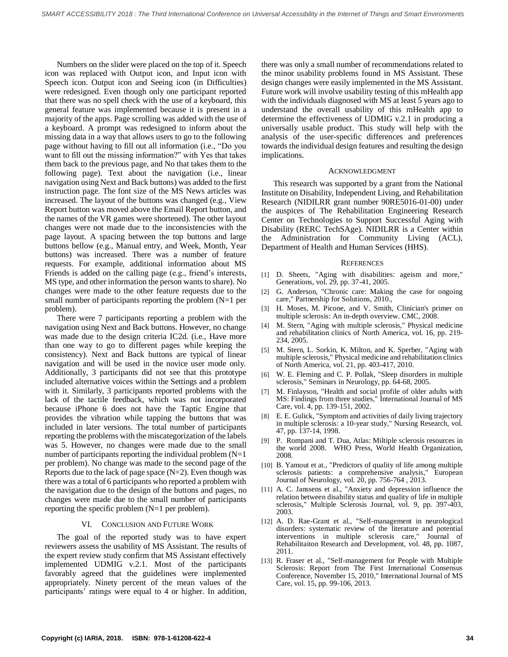Numbers on the slider were placed on the top of it. Speech icon was replaced with Output icon, and Input icon with Speech icon. Output icon and Seeing icon (in Difficulties) were redesigned. Even though only one participant reported that there was no spell check with the use of a keyboard, this general feature was implemented because it is present in a majority of the apps. Page scrolling was added with the use of a keyboard. A prompt was redesigned to inform about the missing data in a way that allows users to go to the following page without having to fill out all information (i.e., "Do you want to fill out the missing information?" with Yes that takes them back to the previous page, and No that takes them to the following page). Text about the navigation (i.e., linear navigation using Next and Back buttons) was added to the first instruction page. The font size of the MS News articles was increased. The layout of the buttons was changed (e.g., View Report button was moved above the Email Report button, and the names of the VR games were shortened). The other layout changes were not made due to the inconsistencies with the page layout. A spacing between the top buttons and large buttons bellow (e.g., Manual entry, and Week, Month, Year buttons) was increased. There was a number of feature requests. For example, additional information about MS Friends is added on the calling page (e.g., friend's interests, MStype, and other information the person wants to share). No changes were made to the other feature requests due to the small number of participants reporting the problem (N=1 per problem).

There were 7 participants reporting a problem with the navigation using Next and Back buttons. However, no change was made due to the design criteria IC2d. (i.e., Have more than one way to go to different pages while keeping the consistency). Next and Back buttons are typical of linear navigation and will be used in the novice user mode only. Additionally, 3 participants did not see that this prototype included alternative voices within the Settings and a problem with it. Similarly, 3 participants reported problems with the lack of the tactile feedback, which was not incorporated because iPhone 6 does not have the Taptic Engine that provides the vibration while tapping the buttons that was included in later versions. The total number of participants reporting the problems with the miscategorization of the labels was 5. However, no changes were made due to the small number of participants reporting the individual problem  $(N=1)$ per problem). No change was made to the second page of the Reports due to the lack of page space  $(N=2)$ . Even though was there was a total of 6 participants who reported a problem with the navigation due to the design of the buttons and pages, no changes were made due to the small number of participants reporting the specific problem (N=1 per problem).

#### VI. CONCLUSION AND FUTURE WORK

The goal of the reported study was to have expert reviewers assess the usability of MS Assistant. The results of the expert review study confirm that MS Assistant effectively implemented UDMIG v.2.1. Most of the participants favorably agreed that the guidelines were implemented appropriately. Ninety percent of the mean values of the participants' ratings were equal to 4 or higher. In addition,

there was only a small number of recommendations related to the minor usability problems found in MS Assistant. These design changes were easily implemented in the MS Assistant. Future work will involve usability testing of this mHealth app with the individuals diagnosed with MS at least 5 years ago to understand the overall usability of this mHealth app to determine the effectiveness of UDMIG v.2.1 in producing a universally usable product. This study will help with the analysis of the user-specific differences and preferences towards the individual design features and resulting the design implications.

#### ACKNOWLEDGMENT

This research was supported by a grant from the National Institute on Disability, Independent Living, and Rehabilitation Research (NIDILRR grant number 90RE5016-01-00) under the auspices of The Rehabilitation Engineering Research Center on Technologies to Support Successful Aging with Disability [\(RERC TechSAge\)](http://www.techsage.gatech.edu/). NIDILRR is a Center within the Administration for Community Living (ACL), Department of Health and Human Services (HHS).

#### **REFERENCES**

- [1] D. Sheets, "Aging with disabilities: ageism and more," Generations, vol. 29, pp. 37-41, 2005.
- [2] G. Anderson, "Chronic care: Making the case for ongoing care," Partnership for Solutions, 2010.,
- [3] H. Moses, M. Picone, and V. Smith, Clinician's primer on multiple sclerosis: An in-depth overview. CMC, 2008.
- [4] M. Stern, "Aging with multiple sclerosis," Physical medicine and rehabilitation clinics of North America, vol. 16, pp. 219- 234, 2005.
- [5] M. Stern, L. Sorkin, K. Milton, and K. Sperber, "Aging with multiple sclerosis," Physical medicine and rehabilitation clinics of North America, vol. 21, pp. 403-417, 2010.
- [6] W. E. Fleming and C. P. Pollak, "Sleep disorders in multiple sclerosis," Seminars in Neurology, pp. 64-68, 2005.
- [7] M. Finlayson, "Health and social profile of older adults with MS: Findings from three studies," International Journal of MS Care, vol. 4, pp. 139-151, 2002.
- [8] E. E. Gulick, "Symptom and activities of daily living trajectory in multiple sclerosis: a 10-year study," Nursing Research, vol. 47, pp. 137-14, 1998.
- [9] P. Rompani and T. Dua, Atlas: Miltiple sclerosis resources in the world 2008. WHO Press, World Health Organization, 2008.
- [10] B. Yamout et at., "Predictors of quality of life among multiple sclerosis patients: a comprehensive analysis," European Journal of Neurology, vol. 20, pp. 756-764 , 2013.
- [11] A. C. Janssens et al., "Anxiety and depression influence the relation between disability status and quality of life in multiple sclerosis," Multiple Sclerosis Journal, vol. 9, pp. 397-403, 2003.
- [12] A. D. Rae-Grant et al., "Self-management in neurological disorders: systematic review of the literature and potential interventions in multiple sclerosis care," Journal of Rehabilitaiton Research and Development, vol. 48, pp. 1087, 2011.
- [13] R. Fraser et al., "Self-management for People with Multiple Sclerosis: Report from The First International Consensus Conference, November 15, 2010," International Journal of MS Care, vol. 15, pp. 99-106, 2013.